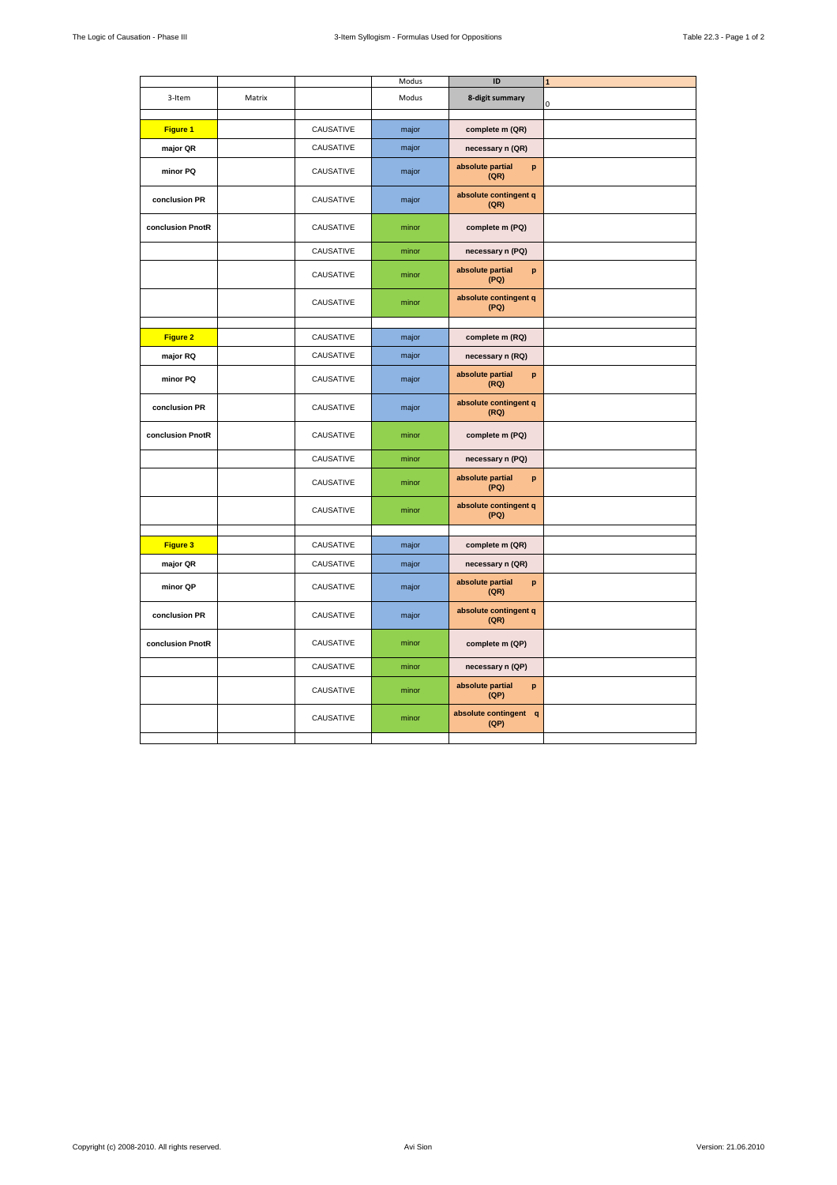|                  |        |           | Modus | ID                            | $\mathbf{1}$ |
|------------------|--------|-----------|-------|-------------------------------|--------------|
| 3-Item           | Matrix |           | Modus | 8-digit summary               | 0            |
|                  |        |           |       |                               |              |
| Figure 1         |        | CAUSATIVE | major | complete m (QR)               |              |
| major QR         |        | CAUSATIVE | major | necessary n (QR)              |              |
| minor PQ         |        | CAUSATIVE | major | absolute partial<br>p<br>(QR) |              |
| conclusion PR    |        | CAUSATIVE | major | absolute contingent q<br>(QR) |              |
| conclusion PnotR |        | CAUSATIVE | minor | complete m (PQ)               |              |
|                  |        | CAUSATIVE | minor | necessary n (PQ)              |              |
|                  |        | CAUSATIVE | minor | absolute partial<br>p<br>(PQ) |              |
|                  |        | CAUSATIVE | minor | absolute contingent q<br>(PQ) |              |
|                  |        |           |       |                               |              |
| Figure 2         |        | CAUSATIVE | major | complete m (RQ)               |              |
| major RQ         |        | CAUSATIVE | major | necessary n (RQ)              |              |
| minor PQ         |        | CAUSATIVE | major | absolute partial<br>p<br>(RQ) |              |
| conclusion PR    |        | CAUSATIVE | major | absolute contingent q<br>(RQ) |              |
| conclusion PnotR |        | CAUSATIVE | minor | complete m (PQ)               |              |
|                  |        | CAUSATIVE | minor | necessary n (PQ)              |              |
|                  |        | CAUSATIVE | minor | absolute partial<br>p<br>(PQ) |              |
|                  |        | CAUSATIVE | minor | absolute contingent q<br>(PQ) |              |
|                  |        |           |       |                               |              |
| Figure 3         |        | CAUSATIVE | major | complete m (QR)               |              |
| major QR         |        | CAUSATIVE | major | necessary n (QR)              |              |
| minor QP         |        | CAUSATIVE | major | absolute partial<br>p<br>(QR) |              |
| conclusion PR    |        | CAUSATIVE | major | absolute contingent q<br>(QR) |              |
| conclusion PnotR |        | CAUSATIVE | minor | complete m (QP)               |              |
|                  |        | CAUSATIVE | minor | necessary n (QP)              |              |
|                  |        | CAUSATIVE | minor | absolute partial<br>p<br>(QP) |              |
|                  |        | CAUSATIVE | minor | absolute contingent q<br>(QP) |              |
|                  |        |           |       |                               |              |